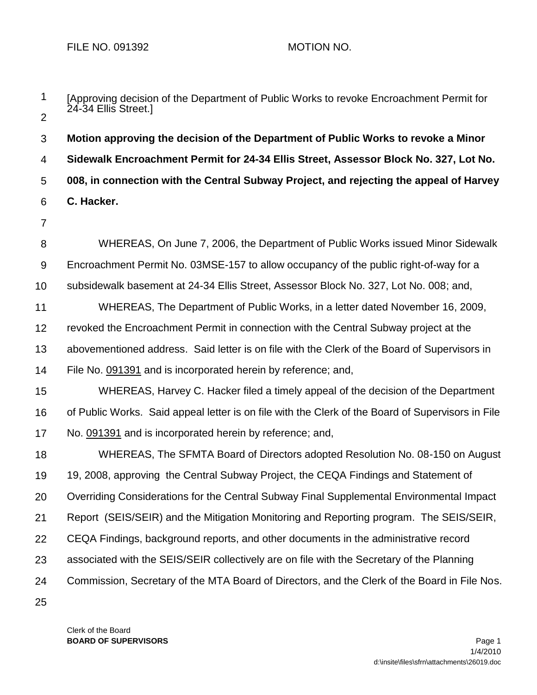- 1  $\mathcal{P}$ 3 4 5 6 7 8 9 10 11 12 13 14 15 16 17 18 19 20 21 22 23 24 25 [Approving decision of the Department of Public Works to revoke Encroachment Permit for 24-34 Ellis Street.] **Motion approving the decision of the Department of Public Works to revoke a Minor Sidewalk Encroachment Permit for 24-34 Ellis Street, Assessor Block No. 327, Lot No. 008, in connection with the Central Subway Project, and rejecting the appeal of Harvey C. Hacker.** WHEREAS, On June 7, 2006, the Department of Public Works issued Minor Sidewalk Encroachment Permit No. 03MSE-157 to allow occupancy of the public right-of-way for a subsidewalk basement at 24-34 Ellis Street, Assessor Block No. 327, Lot No. 008; and, WHEREAS, The Department of Public Works, in a letter dated November 16, 2009, revoked the Encroachment Permit in connection with the Central Subway project at the abovementioned address. Said letter is on file with the Clerk of the Board of Supervisors in File No. 091391 and is incorporated herein by reference; and, WHEREAS, Harvey C. Hacker filed a timely appeal of the decision of the Department of Public Works. Said appeal letter is on file with the Clerk of the Board of Supervisors in File No. 091391 and is incorporated herein by reference; and, WHEREAS, The SFMTA Board of Directors adopted Resolution No. 08-150 on August 19, 2008, approving the Central Subway Project, the CEQA Findings and Statement of Overriding Considerations for the Central Subway Final Supplemental Environmental Impact Report (SEIS/SEIR) and the Mitigation Monitoring and Reporting program. The SEIS/SEIR, CEQA Findings, background reports, and other documents in the administrative record associated with the SEIS/SEIR collectively are on file with the Secretary of the Planning Commission, Secretary of the MTA Board of Directors, and the Clerk of the Board in File Nos.
	- Clerk of the Board